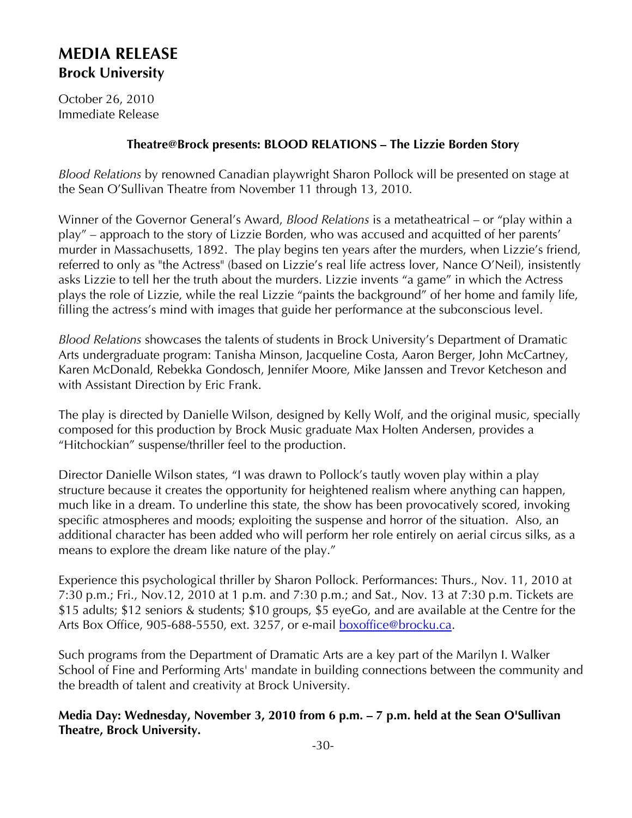## **MEDIA RELEASE Brock University**

October 26, 2010 Immediate Release

## **Theatre@Brock presents: BLOOD RELATIONS – The Lizzie Borden Story**

*Blood Relations* by renowned Canadian playwright Sharon Pollock will be presented on stage at the Sean O'Sullivan Theatre from November 11 through 13, 2010.

Winner of the Governor General's Award, *Blood Relations* is a metatheatrical – or "play within a play" – approach to the story of Lizzie Borden, who was accused and acquitted of her parents' murder in Massachusetts, 1892. The play begins ten years after the murders, when Lizzie's friend, referred to only as "the Actress" (based on Lizzie's real life actress lover, Nance O'Neil), insistently asks Lizzie to tell her the truth about the murders. Lizzie invents "a game" in which the Actress plays the role of Lizzie, while the real Lizzie "paints the background" of her home and family life, filling the actress's mind with images that guide her performance at the subconscious level.

*Blood Relations* showcases the talents of students in Brock University's Department of Dramatic Arts undergraduate program: Tanisha Minson, Jacqueline Costa, Aaron Berger, John McCartney, Karen McDonald, Rebekka Gondosch, Jennifer Moore, Mike Janssen and Trevor Ketcheson and with Assistant Direction by Eric Frank.

The play is directed by Danielle Wilson, designed by Kelly Wolf, and the original music, specially composed for this production by Brock Music graduate Max Holten Andersen, provides a "Hitchockian" suspense/thriller feel to the production.

Director Danielle Wilson states, "I was drawn to Pollock's tautly woven play within a play structure because it creates the opportunity for heightened realism where anything can happen, much like in a dream. To underline this state, the show has been provocatively scored, invoking specific atmospheres and moods; exploiting the suspense and horror of the situation. Also, an additional character has been added who will perform her role entirely on aerial circus silks, as a means to explore the dream like nature of the play."

Experience this psychological thriller by Sharon Pollock. Performances: Thurs., Nov. 11, 2010 at 7:30 p.m.; Fri., Nov.12, 2010 at 1 p.m. and 7:30 p.m.; and Sat., Nov. 13 at 7:30 p.m. Tickets are \$15 adults; \$12 seniors & students; \$10 groups, \$5 eyeGo, and are available at the Centre for the Arts Box Office, 905-688-5550, ext. 3257, or e-mail boxoffice@brocku.ca.

Such programs from the Department of Dramatic Arts are a key part of the Marilyn I. Walker School of Fine and Performing Arts' mandate in building connections between the community and the breadth of talent and creativity at Brock University.

**Media Day: Wednesday, November 3, 2010 from 6 p.m. – 7 p.m. held at the Sean O'Sullivan Theatre, Brock University.**